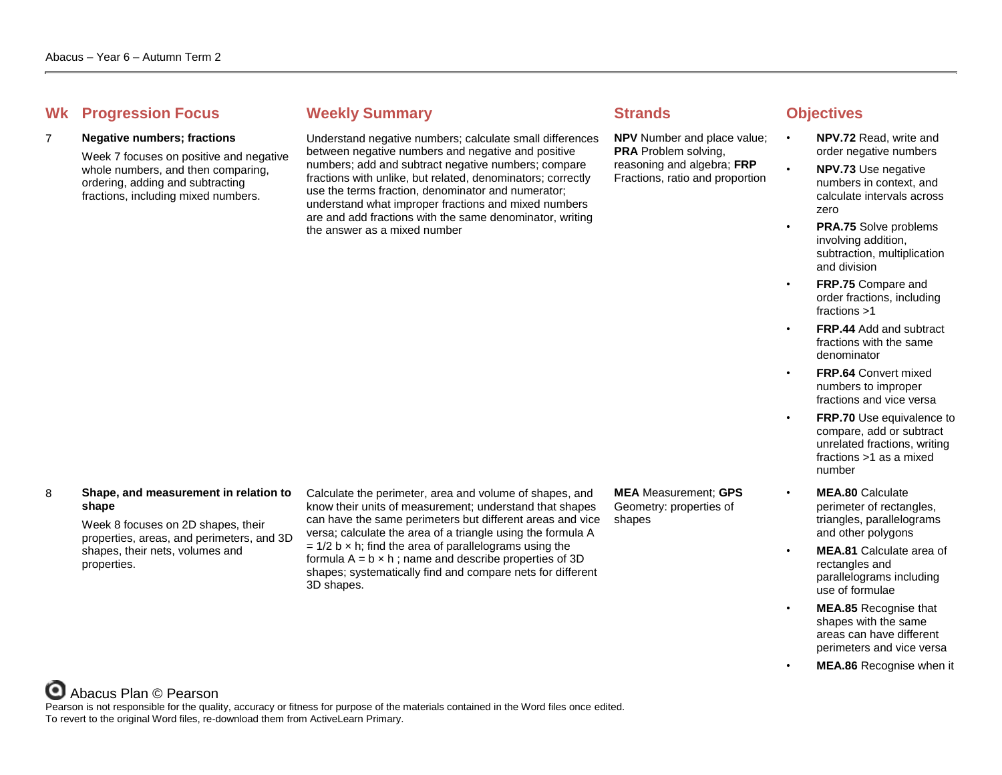# **Whenever Summary Weekly Summary Strands Objectives**

## 7 **Negative numbers; fractions**

Week 7 focuses on positive and negative whole numbers, and then comparing, ordering, adding and subtracting fractions, including mixed numbers.

Understand negative numbers; calculate small differences between negative numbers and negative and positive numbers; add and subtract negative numbers; compare fractions with unlike, but related, denominators; correctly use the terms fraction, denominator and numerator; understand what improper fractions and mixed numbers are and add fractions with the same denominator, writing the answer as a mixed number

**NPV** Number and place value; **PRA** Problem solving, reasoning and algebra; **FRP** Fractions, ratio and proportion

- **NPV.72** Read, write and order negative numbers
- **NPV.73** Use negative numbers in context, and calculate intervals across zero
- **PRA.75** Solve problems involving addition, subtraction, multiplication and division
- **FRP.75** Compare and order fractions, including fractions >1
- **FRP.44** Add and subtract fractions with the same denominator
- **FRP.64 Convert mixed** numbers to improper fractions and vice versa
- **FRP.70** Use equivalence to compare, add or subtract unrelated fractions, writing fractions >1 as a mixed number
- **MEA.80** Calculate perimeter of rectangles, triangles, parallelograms and other polygons
- **MEA.81** Calculate area of rectangles and parallelograms including use of formulae
- **MEA.85** Recognise that shapes with the same areas can have different perimeters and vice versa
- **MEA.86** Recognise when it

## 8 **Shape, and measurement in relation to shape**

Week 8 focuses on 2D shapes, their properties, areas, and perimeters, and 3D shapes, their nets, volumes and properties.

Calculate the perimeter, area and volume of shapes, and know their units of measurement; understand that shapes can have the same perimeters but different areas and vice versa; calculate the area of a triangle using the formula A  $= 1/2$  b  $\times$  h; find the area of parallelograms using the formula  $A = b \times h$ ; name and describe properties of 3D shapes; systematically find and compare nets for different 3D shapes.

**MEA** Measurement; **GPS** Geometry: properties of shapes

Abacus Plan © Pearson Pearson is not responsible for the quality, accuracy or fitness for purpose of the materials contained in the Word files once edited. To revert to the original Word files, re-download them from ActiveLearn Primary.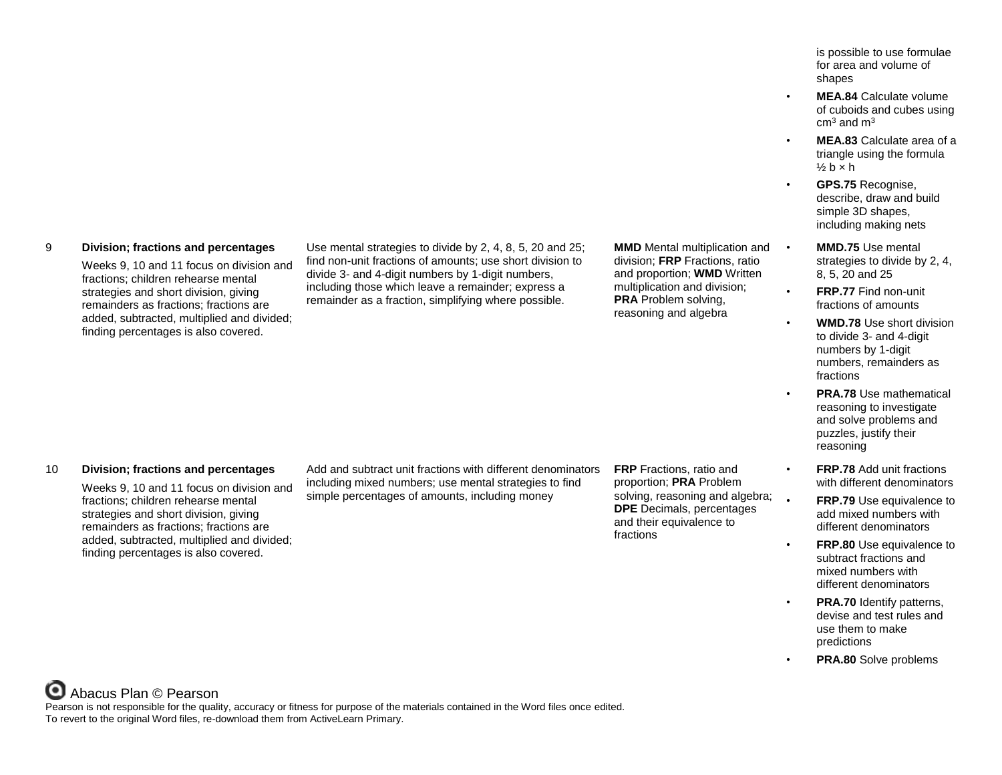9 **Division; fractions and percentages**

Weeks 9, 10 and 11 focus on division and fractions; children rehearse mental strategies and short division, giving remainders as fractions; fractions are added, subtracted, multiplied and divided; finding percentages is also covered.

Use mental strategies to divide by 2, 4, 8, 5, 20 and 25; find non-unit fractions of amounts; use short division to divide 3- and 4-digit numbers by 1-digit numbers, including those which leave a remainder; express a remainder as a fraction, simplifying where possible.

**MMD** Mental multiplication and • division; **FRP** Fractions, ratio and proportion; **WMD** Written multiplication and division; **PRA** Problem solving, reasoning and algebra

10 **Division; fractions and percentages**

Weeks 9, 10 and 11 focus on division and fractions; children rehearse mental strategies and short division, giving remainders as fractions; fractions are added, subtracted, multiplied and divided; finding percentages is also covered.

Add and subtract unit fractions with different denominators including mixed numbers; use mental strategies to find simple percentages of amounts, including money

**FRP** Fractions, ratio and proportion; **PRA** Problem solving, reasoning and algebra; **DPE** Decimals, percentages and their equivalence to fractions

is possible to use formulae for area and volume of shapes

- **MEA.84** Calculate volume of cuboids and cubes using  $cm<sup>3</sup>$  and  $m<sup>3</sup>$
- **MEA.83** Calculate area of a triangle using the formula  $\frac{1}{2}$  b  $\times$  h
- **GPS.75** Recognise, describe, draw and build simple 3D shapes, including making nets
- **MMD.75** Use mental strategies to divide by 2, 4, 8, 5, 20 and 25
- **FRP.77** Find non-unit fractions of amounts
	- **WMD.78** Use short division to divide 3- and 4-digit numbers by 1-digit numbers, remainders as fractions
	- **PRA.78** Use mathematical reasoning to investigate and solve problems and puzzles, justify their reasoning
	- **FRP.78** Add unit fractions with different denominators
	- **FRP.79** Use equivalence to add mixed numbers with different denominators
- **FRP.80** Use equivalence to subtract fractions and mixed numbers with different denominators
- **PRA.70** Identify patterns. devise and test rules and use them to make predictions
- **PRA.80** Solve problems

Abacus Plan © Pearson Pearson is not responsible for the quality, accuracy or fitness for purpose of the materials contained in the Word files once edited. To revert to the original Word files, re-download them from ActiveLearn Primary.